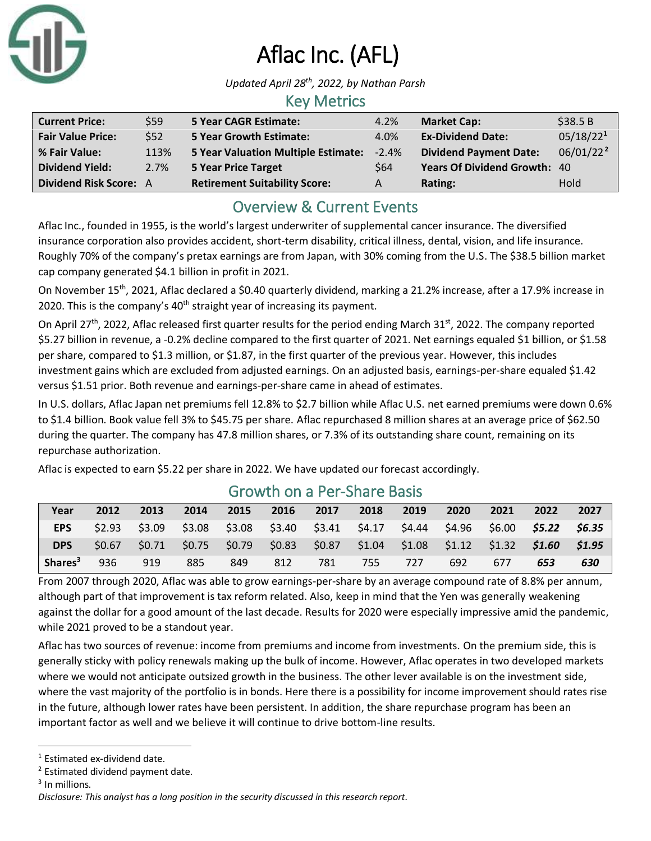

# Aflac Inc. (AFL)

*Updated April 28th , 2022, by Nathan Parsh*

### Key Metrics

| <b>Current Price:</b>         | \$59 | <b>5 Year CAGR Estimate:</b>         | 4.2%     | <b>Market Cap:</b>                  | \$38.5B               |
|-------------------------------|------|--------------------------------------|----------|-------------------------------------|-----------------------|
| <b>Fair Value Price:</b>      | \$52 | <b>5 Year Growth Estimate:</b>       | 4.0%     | <b>Ex-Dividend Date:</b>            | 05/18/22 <sup>1</sup> |
| % Fair Value:                 | 113% | 5 Year Valuation Multiple Estimate:  | $-2.4\%$ | <b>Dividend Payment Date:</b>       | 06/01/22 <sup>2</sup> |
| <b>Dividend Yield:</b>        | 2.7% | <b>5 Year Price Target</b>           | \$64     | <b>Years Of Dividend Growth: 40</b> |                       |
| <b>Dividend Risk Score: A</b> |      | <b>Retirement Suitability Score:</b> | A        | Rating:                             | Hold                  |

## Overview & Current Events

Aflac Inc., founded in 1955, is the world's largest underwriter of supplemental cancer insurance. The diversified insurance corporation also provides accident, short-term disability, critical illness, dental, vision, and life insurance. Roughly 70% of the company's pretax earnings are from Japan, with 30% coming from the U.S. The \$38.5 billion market cap company generated \$4.1 billion in profit in 2021.

On November 15<sup>th</sup>, 2021, Aflac declared a \$0.40 quarterly dividend, marking a 21.2% increase, after a 17.9% increase in 2020. This is the company's  $40<sup>th</sup>$  straight year of increasing its payment.

On April 27<sup>th</sup>, 2022, Aflac released first quarter results for the period ending March 31<sup>st</sup>, 2022. The company reported \$5.27 billion in revenue, a -0.2% decline compared to the first quarter of 2021. Net earnings equaled \$1 billion, or \$1.58 per share, compared to \$1.3 million, or \$1.87, in the first quarter of the previous year. However, this includes investment gains which are excluded from adjusted earnings. On an adjusted basis, earnings-per-share equaled \$1.42 versus \$1.51 prior. Both revenue and earnings-per-share came in ahead of estimates.

In U.S. dollars, Aflac Japan net premiums fell 12.8% to \$2.7 billion while Aflac U.S. net earned premiums were down 0.6% to \$1.4 billion. Book value fell 3% to \$45.75 per share. Aflac repurchased 8 million shares at an average price of \$62.50 during the quarter. The company has 47.8 million shares, or 7.3% of its outstanding share count, remaining on its repurchase authorization.

Aflac is expected to earn \$5.22 per share in 2022. We have updated our forecast accordingly.

| Year                | 2012   | 2013             | 2014 | 2015 | 2016 | 2017                                                                            | 2018 | 2019 | 2020 | 2021 | 2022                 | 2027   |
|---------------------|--------|------------------|------|------|------|---------------------------------------------------------------------------------|------|------|------|------|----------------------|--------|
| <b>EPS</b>          | \$2.93 | \$3.09           |      |      |      | $$3.08$ $$3.08$ $$3.40$ $$3.41$ $$4.17$ $$4.44$ $$4.96$                         |      |      |      |      | \$6.00 <b>\$5.22</b> | \$6.35 |
| <b>DPS</b>          | \$0.67 | $$0.71$ $\times$ |      |      |      | $$0.75$ $$0.79$ $$0.83$ $$0.87$ $$1.04$ $$1.08$ $$1.12$ $$1.32$ $$1.60$ $$1.95$ |      |      |      |      |                      |        |
| Shares <sup>3</sup> | 936    | 919              | 885  | 849  | 812  | 781                                                                             | 755  | 727  | 692  | 677  | 653                  | 630    |

## Growth on a Per-Share Basis

From 2007 through 2020, Aflac was able to grow earnings-per-share by an average compound rate of 8.8% per annum, although part of that improvement is tax reform related. Also, keep in mind that the Yen was generally weakening against the dollar for a good amount of the last decade. Results for 2020 were especially impressive amid the pandemic, while 2021 proved to be a standout year.

Aflac has two sources of revenue: income from premiums and income from investments. On the premium side, this is generally sticky with policy renewals making up the bulk of income. However, Aflac operates in two developed markets where we would not anticipate outsized growth in the business. The other lever available is on the investment side, where the vast majority of the portfolio is in bonds. Here there is a possibility for income improvement should rates rise in the future, although lower rates have been persistent. In addition, the share repurchase program has been an important factor as well and we believe it will continue to drive bottom-line results.

<sup>1</sup> Estimated ex-dividend date.

<sup>2</sup> Estimated dividend payment date.

<sup>&</sup>lt;sup>3</sup> In millions.

*Disclosure: This analyst has a long position in the security discussed in this research report.*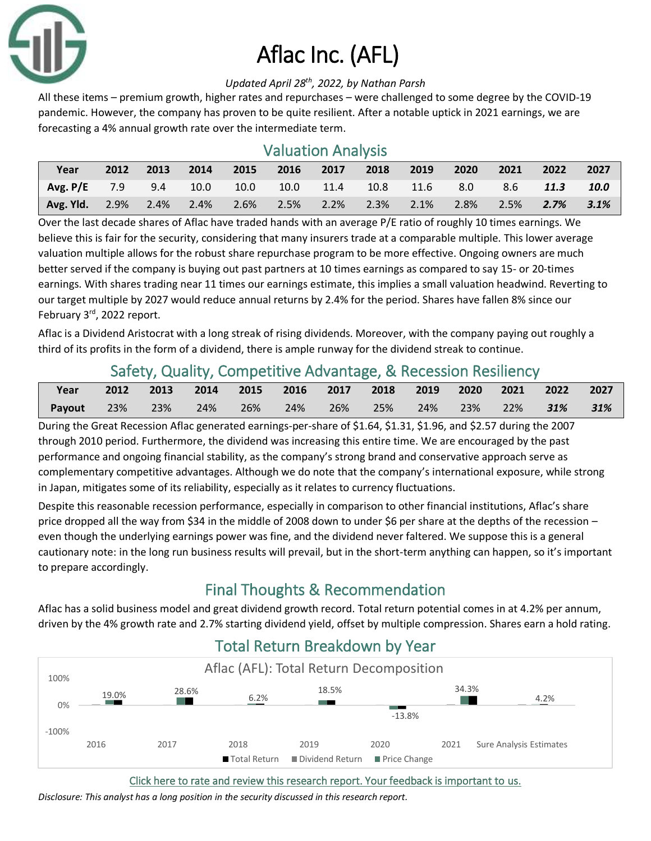

# Aflac Inc. (AFL)

#### *Updated April 28th , 2022, by Nathan Parsh*

All these items – premium growth, higher rates and repurchases – were challenged to some degree by the COVID-19 pandemic. However, the company has proven to be quite resilient. After a notable uptick in 2021 earnings, we are forecasting a 4% annual growth rate over the intermediate term.

### Valuation Analysis

| Year                                                        | 2012 | 2013 | $\sim$ 2014 | 2015 | 2016 2017                 | 2018 | 2019 | $\sqrt{2020}$ | $\sim$ 2021 | 2022            | 2027 |
|-------------------------------------------------------------|------|------|-------------|------|---------------------------|------|------|---------------|-------------|-----------------|------|
| Avg. P/E $7.9$ $9.4$ $10.0$                                 |      |      |             | 10.0 | $10.0$ 11.4 10.8 11.6 8.0 |      |      |               |             | 8.6 11.3 10.0   |      |
| Avg. Yld. 2.9% 2.4% 2.4% 2.6% 2.5% 2.2% 2.3% 2.1% 2.8% 2.5% |      |      |             |      |                           |      |      |               |             | $2.7\%$ $3.1\%$ |      |

Over the last decade shares of Aflac have traded hands with an average P/E ratio of roughly 10 times earnings. We believe this is fair for the security, considering that many insurers trade at a comparable multiple. This lower average valuation multiple allows for the robust share repurchase program to be more effective. Ongoing owners are much better served if the company is buying out past partners at 10 times earnings as compared to say 15- or 20-times earnings. With shares trading near 11 times our earnings estimate, this implies a small valuation headwind. Reverting to our target multiple by 2027 would reduce annual returns by 2.4% for the period. Shares have fallen 8% since our February 3rd, 2022 report.

Aflac is a Dividend Aristocrat with a long streak of rising dividends. Moreover, with the company paying out roughly a third of its profits in the form of a dividend, there is ample runway for the dividend streak to continue.

## Safety, Quality, Competitive Advantage, & Recession Resiliency

| Year   |  | 2012 2013 2014 2015 2016 2017 2018 2019 2020 2021 2022 |         |  |                                    |  |  | 2027 |
|--------|--|--------------------------------------------------------|---------|--|------------------------------------|--|--|------|
| Payout |  | 23% 23% 24%                                            | $-26\%$ |  | 24% 26% 25% 24% 23% 22% <b>31%</b> |  |  | 31%  |

During the Great Recession Aflac generated earnings-per-share of \$1.64, \$1.31, \$1.96, and \$2.57 during the 2007 through 2010 period. Furthermore, the dividend was increasing this entire time. We are encouraged by the past performance and ongoing financial stability, as the company's strong brand and conservative approach serve as complementary competitive advantages. Although we do note that the company's international exposure, while strong in Japan, mitigates some of its reliability, especially as it relates to currency fluctuations.

Despite this reasonable recession performance, especially in comparison to other financial institutions, Aflac's share price dropped all the way from \$34 in the middle of 2008 down to under \$6 per share at the depths of the recession even though the underlying earnings power was fine, and the dividend never faltered. We suppose this is a general cautionary note: in the long run business results will prevail, but in the short-term anything can happen, so it's important to prepare accordingly.

## Final Thoughts & Recommendation

Aflac has a solid business model and great dividend growth record. Total return potential comes in at 4.2% per annum, driven by the 4% growth rate and 2.7% starting dividend yield, offset by multiple compression. Shares earn a hold rating.



## Total Return Breakdown by Year

[Click here to rate and review this research report. Your feedback is important to us.](https://suredividend.typeform.com/to/S0SIkB)

*Disclosure: This analyst has a long position in the security discussed in this research report.*